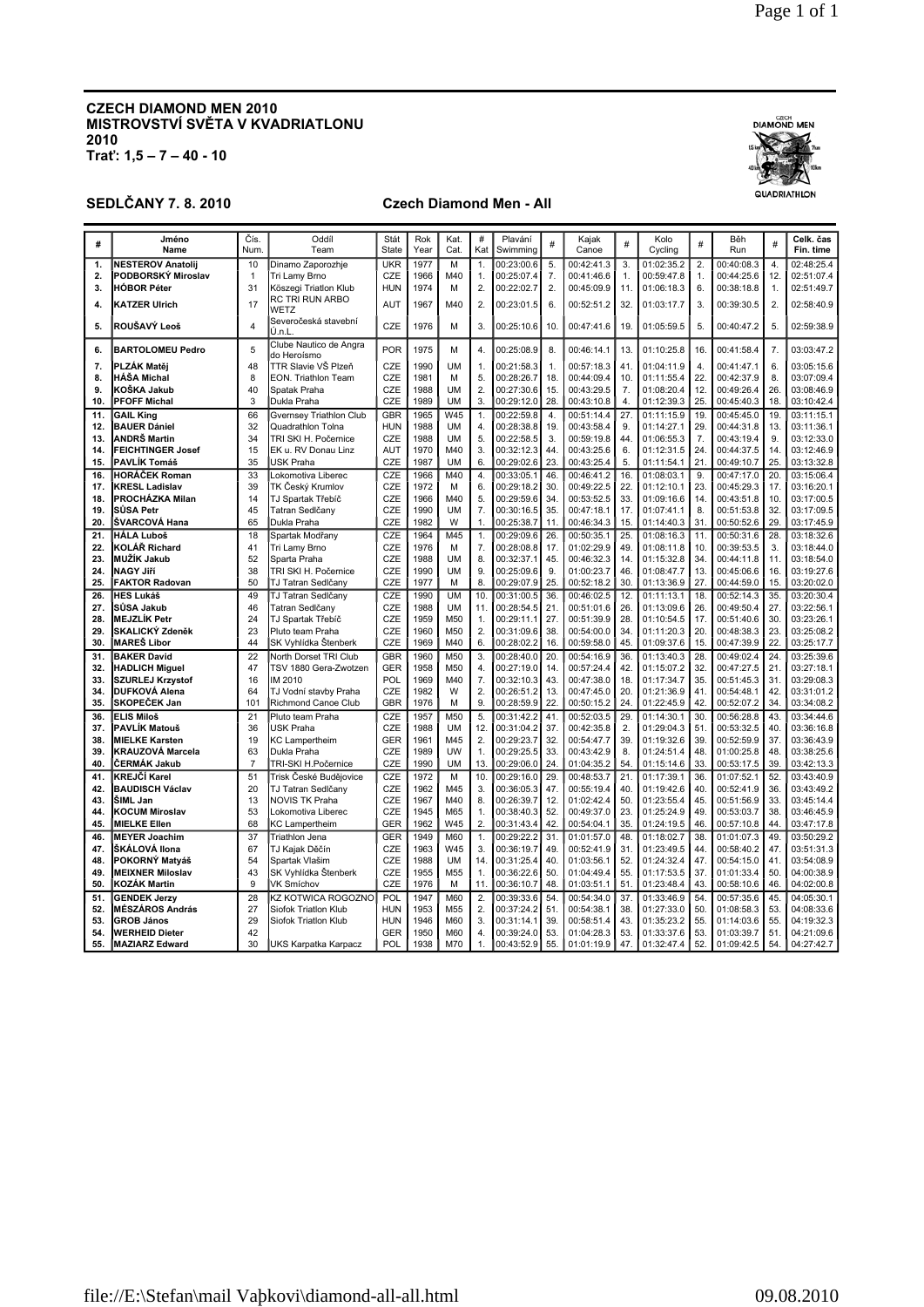# **CZECH DIAMOND MEN 2010** MISTROVSTVÍ SVĚTA V KVADRIATLONU  $2010$ <br>Trat':  $1,5 - 7 - 40 - 10$

## **SEDLČANY 7.8.2010**

### **Czech Diamond Men - All**

| #          | Jméno<br>Name                              | Čís.<br>Num             | Oddíl<br>Team                               | Stát<br><b>State</b> | Rok<br>Year  | Kat.<br>Cat.           | #<br>Kat     | Plavání<br>Swimming      | #          | Kajak<br>Canoe           | #          | Kolo<br>Cycling          | #          | Běh<br>Run               | $\#$       | Celk. čas<br>Fin. time   |
|------------|--------------------------------------------|-------------------------|---------------------------------------------|----------------------|--------------|------------------------|--------------|--------------------------|------------|--------------------------|------------|--------------------------|------------|--------------------------|------------|--------------------------|
| 1.         | <b>NESTEROV Anatolij</b>                   | 10                      | Dinamo Zaporozhje                           | <b>UKR</b>           | 1977         | M                      | 1.           | 00:23:00.6               | 5.         | 00:42:41.3               | 3.         | 01:02:35.2               | 2.         | 00:40:08.3               | 4.         | 02:48:25.4               |
| 2.         | PODBORSKÝ Miroslav                         | $\mathbf{1}$            | Tri Lamy Brno                               | CZE                  | 1966         | M40                    | 1.           | 00:25:07.4               | 7.         | 00:41:46.6               | 1.         | 00:59:47.8               | 1.         | 00:44:25.6               | 12.        | 02:51:07.4               |
| 3.         | <b>HÓBOR Péter</b>                         | 31                      | Köszegi Triatlon Klub                       | <b>HUN</b>           | 1974         | M                      | 2.           | 00:22:02.7               | 2.         | 00:45:09.9               | 11.        | 01:06:18.3               | 6.         | 00:38:18.8               | 1.         | 02:51:49.7               |
| 4.         | <b>KATZER Ulrich</b>                       | 17                      | RC TRI RUN ARBO<br>WETZ                     | <b>AUT</b>           | 1967         | M40                    | 2.           | 00:23:01.5               | 6.         | 00:52:51.2               | 32.        | 01:03:17.7               | 3.         | 00:39:30.5               | 2.         | 02:58:40.9               |
| 5.         | ROUŠAVÝ Leoš                               | $\overline{\mathbf{4}}$ | Severočeská stavební<br>Ú.n.L               | CZE                  | 1976         | M                      | 3.           | 00:25:10.6               | 10.        | 00:47:41.6               | 19         | 01:05:59.5               | 5.         | 00:40:47.2               | 5.         | 02:59:38.9               |
| 6.         | <b>BARTOLOMEU Pedro</b>                    | 5                       | Clube Nautico de Angra<br>do Heroísmo       | POR                  | 1975         | M                      | 4.           | 00:25:08.9               | 8.         | 00:46:14.1               | 13.        | 01:10:25.8               | 16.        | 00:41:58.4               | 7.         | 03:03:47.2               |
| 7.         | PLZÁK Matěj                                | 48                      | TTR Slavie VŠ Plzeň                         | CZE                  | 1990         | <b>UM</b>              | 1.           | 00:21:58.3               | 1.         | 00:57:18.3               | 41         | 01:04:11.9               | 4.         | 00:41:47.1               | 6.         | 03:05:15.6               |
| 8.         | <b>HÁŠA Michal</b>                         | 8                       | EON. Triathlon Team                         | CZE                  | 1981         | M                      | 5.           | 00:28:26.7               | 18.        | 00:44:09.4               | 10         | 01:11:55.4               | 22.        | 00:42:37.9               | 8.         | 03:07:09.4               |
| 9.<br>10.  | KOŠKA Jakub<br><b>PFOFF Michal</b>         | 40<br>3                 | Spatak Praha<br>Dukla Praha                 | CZE<br>CZE           | 1988<br>1989 | <b>UM</b><br><b>UM</b> | 2.<br>3.     | 00:27:30.6               | 15.<br>28. | 00:43:29.5<br>00:43:10.8 | 7.<br>4.   | 01:08:20.4               | 12.<br>25. | 00:49:26.4               | 26.<br>18. | 03:08:46.9               |
|            |                                            |                         |                                             |                      |              |                        |              | 00:29:12.0               |            |                          |            | 01:12:39.3               |            | 00:45:40.3               |            | 03:10:42.4               |
| 11.        | <b>GAIL King</b>                           | 66                      | Gvernsey Triathlon Club                     | GBR                  | 1965         | W45                    | 1.           | 00:22:59.8               | 4.         | 00:51:14.4               | 27.        | 01:11:15.9               | 19.        | 00:45:45.0               | 19.        | 03:11:15.1               |
| 12.        | <b>BAUER Dániel</b><br><b>ANDRŠ Martin</b> | 32<br>34                | Quadrathlon Tolna                           | <b>HUN</b><br>CZE    | 1988<br>1988 | <b>UM</b><br><b>UM</b> | 4.<br>5.     | 00:28:38.8<br>00:22:58.5 | 19.<br>3.  | 00:43:58.4<br>00:59:19.8 | 9.         | 01:14:27.1<br>01:06:55.3 | 29.<br>7.  | 00:44:31.8<br>00:43:19.4 | 13.<br>9.  | 03:11:36.1<br>03:12:33.0 |
| 13.        | <b>FEICHTINGER Josef</b>                   | 15                      | TRI SKI H. Počernice<br>EK u. RV Donau Linz | <b>AUT</b>           | 1970         | M40                    | 3.           | 00:32:12.3               | 44.        | 00:43:25.6               | 44.<br>6.  |                          | 24.        | 00:44:37.5               | 14.        | 03:12:46.9               |
| 14.<br>15. | PAVLÍK Tomáš                               | 35                      | USK Praha                                   | CZE                  | 1987         | <b>UM</b>              | 6.           | 00:29:02.6               | 23.        | 00:43:25.4               | 5.         | 01:12:31.5<br>01:11:54.1 | 21.        | 00:49:10.7               | 25         | 03:13:32.8               |
| 16.        | HORÁČEK Roman                              | 33                      | Lokomotiva Liberec                          | CZE                  | 1966         | M40                    | 4.           | 00:33:05.1               | 46.        | 00:46:41.2               | 16.        | 01:08:03.1               | 9.         | 00:47:17.0               | 20.        | 03:15:06.4               |
| 17.        | <b>KRESL Ladislav</b>                      | 39                      | TK Český Krumlov                            | CZE                  | 1972         | M                      | 6.           | 00:29:18.2               | 30.        | 00:49:22.5               | 22.        | 01:12:10.1               | 23.        | 00:45:29.3               | 17.        | 03:16:20.1               |
| 18.        | PROCHÁZKA Milan                            | 14                      | TJ Spartak Třebíč                           | CZE                  | 1966         | M40                    | 5.           | 00:29:59.6               | 34         | 00:53:52.5               | 33.        | 01:09:16.6               | 14.        | 00:43:51.8               | 10.        | 03:17:00.5               |
| 19.        | SŮSA Petr                                  | 45                      | Tatran Sedlčany                             | CZE                  | 1990         | <b>UM</b>              | 7.           | 00:30:16.5               | 35.        | 00:47:18.1               | 17.        | 01:07:41.1               | 8.         | 00:51:53.8               | 32.        | 03:17:09.5               |
| 20.        | ŠVARCOVÁ Hana                              | 65                      | Dukla Praha                                 | CZE                  | 1982         | W                      | 1.           | 00:25:38.7               | 11.        | 00:46:34.3               | 15.        | 01:14:40.3               | 31.        | 00:50:52.6               | 29.        | 03:17:45.9               |
| 21.        | <b>HÁLA Luboš</b>                          | 18                      | Spartak Modřany                             | CZE                  | 1964         | M45                    | 1.           | 00:29:09.6               | 26.        | 00:50:35.1               | 25.        | 01:08:16.3               | 11.        | 00:50:31.6               | 28         | 03:18:32.6               |
| 22.        | KOLÁŘ Richard                              | 41                      | Tri Lamy Brno                               | CZE                  | 1976         | M                      | 7.           | 00:28:08.8               | 17.        | 01:02:29.9               | 49.        | 01:08:11.8               | 10.        | 00:39:53.5               | 3.         | 03:18:44.0               |
| 23.        | <b>MUŽÍK Jakub</b>                         | 52                      | Sparta Praha                                | CZE                  | 1988         | <b>UM</b>              | 8.           | 00:32:37.1               | 45.        | 00:46:32.3               | 14.        | 01:15:32.8               | 34.        | 00:44:11.8               | 11.        | 03:18:54.0               |
| 24.        | <b>NAGY Jiří</b>                           | 38                      | TRI SKI H. Počernice                        | CZE                  | 1990         | <b>UM</b>              | 9.           | 00:25:09.6               | 9.         | 01:00:23.7               | 46.        | 01:08:47.7               | 13.        | 00:45:06.6               | 16.        | 03:19:27.6               |
| 25.        | <b>FAKTOR Radovan</b>                      | 50                      | TJ Tatran Sedlčany                          | CZE                  | 1977         | M                      | 8.           | 00:29:07.9               | 25.        | 00:52:18.2               | 30         | 01:13:36.9               | 27.        | 00:44:59.0               | 15.        | 03:20:02.0               |
| 26.        | <b>HES Lukáš</b>                           | 49                      | TJ Tatran Sedlčany                          | CZE                  | 1990         | <b>UM</b>              | 10.          | 00:31:00.5               | 36.        | 00:46:02.5               | 12.        | 01:11:13.1               | 18.        | 00:52:14.3               | 35.        | 03:20:30.4               |
| 27.        | SŮSA Jakub                                 | 46                      | Tatran Sedlčany                             | CZE                  | 1988         | <b>UM</b>              | 11.          | 00:28:54.5               | 21.        | 00:51:01.6               | 26.        | 01:13:09.6               | 26.        | 00:49:50.4               | 27.        | 03:22:56.1               |
| 28.        | <b>MEJZLÍK Petr</b>                        | 24                      | TJ Spartak Třebíč                           | CZE                  | 1959         | M50                    | 1.           | 00:29:11.1               | 27.        | 00:51:39.9               | 28.        | 01:10:54.5               | 17.        | 00:51:40.6               | 30.        | 03:23:26.1               |
| 29.        | <b>SKALICKÝ Zdeněk</b>                     | 23                      | Pluto team Praha                            | CZE                  | 1960         | M50                    | 2.           | 00:31:09.6               | 38.        | 00:54:00.0               | 34.        | 01:11:20.3               | 20.        | 00:48:38.3               | 23.        | 03:25:08.2               |
| 30.        | <b>MAREŠ Libor</b>                         | 44                      | SK Vyhlídka Štenberk                        | CZE                  | 1969         | M40                    | 6.           | 00:28:02.2               | 16.        | 00:59:58.0               | 45.        | 01:09:37.6               | 15.        | 00:47:39.9               | 22         | 03:25:17.7               |
| 31.        | <b>BAKER David</b>                         | 22                      | North Dorset TRI Club                       | <b>GBR</b>           | 1960         | M50                    | 3.           | 00:28:40.0               | 20.        | 00:54:16.9               | 36.        | 01:13:40.3               | 28.        | 00:49:02.4               | 24         | 03:25:39.6               |
| 32.        | <b>HADLICH Miguel</b>                      | 47                      | TSV 1880 Gera-Zwotzen                       | GER                  | 1958         | M50                    | 4.           | 00:27:19.0               | 14.        | 00:57:24.4               | 42.        | 01:15:07.2               | 32.        | 00:47:27.5               | 21.        | 03:27:18.1               |
| 33.        | <b>SZURLEJ Krzystof</b>                    | 16                      | IM 2010                                     | POL                  | 1969         | M40                    | 7.           | 00:32:10.3               | 43.        | 00:47:38.0               | 18.        | 01:17:34.7               | 35.        | 00:51:45.3               | 31.        | 03:29:08.3               |
| 34.        | <b>DUFKOVÁ Alena</b>                       | 64                      | TJ Vodní stavby Praha                       | CZE                  | 1982         | W                      | 2.           | 00:26:51.2               | 13.        | 00:47:45.0               | 20.        | 01:21:36.9               | 41.        | 00:54:48.1               | 42.        | 03:31:01.2               |
| 35.        | <b>SKOPEČEK Jan</b>                        | 101                     | Richmond Canoe Club                         | <b>GBR</b>           | 1976         | M                      | 9.           | 00:28:59.9               | 22.        | 00:50:15.2               | 24.        | 01:22:45.9               | 42.        | 00:52:07.2               | 34         | 03:34:08.2               |
| 36.        | <b>ELIS Miloš</b>                          | 21                      | Pluto team Praha                            | CZE                  | 1957         | M50                    | 5.           | 00:31:42.2               | 41.        | 00:52:03.5               | 29.        | 01:14:30.1               | 30.        | 00:56:28.8               | 43         | 03:34:44.6               |
| 37.        | <b>PAVLÍK Matouš</b>                       | 36                      | <b>USK Praha</b>                            | CZE                  | 1988         | <b>UM</b>              | 12.          | 00:31:04.2               | 37.        | 00:42:35.8               | 2.         | 01:29:04.3               | 51.        | 00:53:32.5               | 40         | 03:36:16.8               |
| 38.        | <b>MIELKE Karsten</b>                      | 19                      | <b>KC Lampertheim</b>                       | <b>GER</b>           | 1961         | M45                    | 2.           | 00:29:23.7               | 32.        | 00:54:47.7               | 39.        | 01:19:32.6               | 39.        | 00:52:59.9               | 37.        | 03:36:43.9               |
| 39.        | <b>KRAUZOVÁ Marcela</b>                    | 63                      | Dukla Praha                                 | CZE                  | 1989         | UW                     | 1.           | 00:29:25.5               | 33.        | 00:43:42.9               | 8.         | 01:24:51.4               | 48.        | 01:00:25.8               | 48.        | 03:38:25.6               |
| 40.        | ČERMÁK Jakub                               | $\overline{7}$          | TRI-SKI H.Počernice                         | CZE                  | 1990         | <b>UM</b>              | 13.          | 00:29:06.0               | 24.        | 01:04:35.2               | 54.        | 01:15:14.6               | 33.        | 00:53:17.5               | 39         | 03:42:13.3               |
| 41.        | KREJČÍ Karel                               | 51                      | Trisk České Budějovice                      | CZE                  | 1972         | M                      | 10.          | 00:29:16.0               | 29.        | 00:48:53.7               | 21.        | 01:17:39.1               | 36.        | 01:07:52.1               | 52         | 03:43:40.9               |
| 42.        | <b>BAUDISCH Václav</b>                     | 20                      | TJ Tatran Sedlčany                          | CZE                  | 1962         | M45                    | 3.           | 00:36:05.3               | 47.        | 00:55:19.4               | 40.        | 01:19:42.6               | 40.        | 00:52:41.9               | 36.        | 03:43:49.2               |
| 43.        | ŠIML Jan                                   | 13                      | NOVIS TK Praha                              | CZE                  | 1967         | M40                    | 8.           | 00:26:39.7               | 12.        | 01:02:42.4               | 50.        | 01:23:55.4               | 45.        | 00:51:56.9               | 33.        | 03:45:14.4               |
| 44.        | <b>KOCUM Miroslav</b>                      | 53                      | Lokomotiva Liberec                          | CZE                  | 1945         | M65                    | 1.           | 00:38:40.3               | 52.        | 00:49:37.0               | 23.        | 01:25:24.9               | 49.        | 00:53:03.7               | 38.        | 03:46:45.9               |
| 45.        | <b>MIELKE Ellen</b>                        | 68                      | <b>KC Lampertheim</b>                       | <b>GER</b>           | 1962         | W45                    | 2.           | 00:31:43.4               | 42.        | 00:54:04.1               | 35.        | 01:24:19.5               | 46.        | 00:57:10.8               | 44         | 03:47:17.8               |
| 46.        | <b>MEYER Joachim</b>                       | 37                      | Triathlon Jena                              | <b>GER</b>           | 1949         | M60                    | 1.           | 00:29:22.2               | 31.        | 01:01:57.0               | 48.        | 01:18:02.7               | 38.        | 01:01:07.3               | 49.        | 03:50:29.2               |
| 47.        | ŠKÁLOVÁ Ilona                              | 67                      | TJ Kajak Děčín                              | CZE                  | 1963         | W45                    | 3.           | 00:36:19.7               | 49.        | 00:52:41.9               | 31.        | 01:23:49.5               | 44.        | 00:58:40.2               | 47.        | 03:51:31.3               |
| 48.<br>49. | POKORNÝ Matyáš<br><b>MEIXNER Miloslav</b>  | 54<br>43                | Spartak Vlašim<br>SK Vyhlídka Štenberk      | CZE<br>CZE           | 1988<br>1955 | <b>UM</b><br>M55       | 14.<br>1.    | 00:31:25.4<br>00:36:22.6 | 40.<br>50. | 01:03:56.1<br>01:04:49.4 | 52.<br>55. | 01:24:32.4<br>01:17:53.5 | 47.<br>37. | 00:54:15.0<br>01:01:33.4 | 41.<br>50. | 03:54:08.9<br>04:00:38.9 |
| 50.        | <b>KOZÁK Martin</b>                        | 9                       | VK Smíchov                                  | CZE                  | 1976         | М                      | 11.          | 00:36:10.7               | 48.        | 01:03:51.1               | 51.        | 01:23:48.4               | 43.        | 00:58:10.6               | 46.        | 04:02:00.8               |
| 51.        | <b>GENDEK Jerzy</b>                        | 28                      | KZ KOTWICA ROGOZNO                          | POL                  | 1947         | M60                    | 2.           | 00:39:33.6               | 54.        | 00:54:34.0               | 37.        | 01:33:46.9               | 54.        | 00:57:35.6               | 45.        | 04:05:30.1               |
| 52.        | <b>MÉSZÁROS András</b>                     | 27                      | Siofok Triatlon Klub                        | <b>HUN</b>           | 1953         | M55                    | 2.           | 00:37:24.2               | 51.        | 00:54:38.1               | 38.        | 01:27:33.0               | 50.        | 01:08:58.3               | 53.        | 04:08:33.6               |
| 53.        | <b>GROB János</b>                          | 29                      | Siofok Triatlon Klub                        | <b>HUN</b>           | 1946         | M60                    | 3.           | 00:31:14.1               | 39.        | 00:58:51.4               | 43.        | 01:35:23.2               | 55.        | 01:14:03.6               | 55.        | 04:19:32.3               |
| 54.        | <b>WERHEID Dieter</b>                      | 42                      |                                             | <b>GER</b>           | 1950         | M60                    | 4.           | 00:39:24.0 53.           |            | 01:04:28.3               | 53.        | 01:33:37.6               | 53.        | 01:03:39.7               | 51.        | 04:21:09.6               |
| 55.        | <b>MAZIARZ Fdward</b>                      | 30                      | <b>IUKS Karnatka Karnacz</b>                | POL                  | 1938         | <b>M70</b>             | $\mathbf{1}$ | 00:43:52.9               | 55 L       | 01.01.19.9               |            | 47 $01:32:474$           | 52         | 01.09.42.5               | 54         | 04.27.427                |

**DIAMOND MEN** 

QUADRIATHLON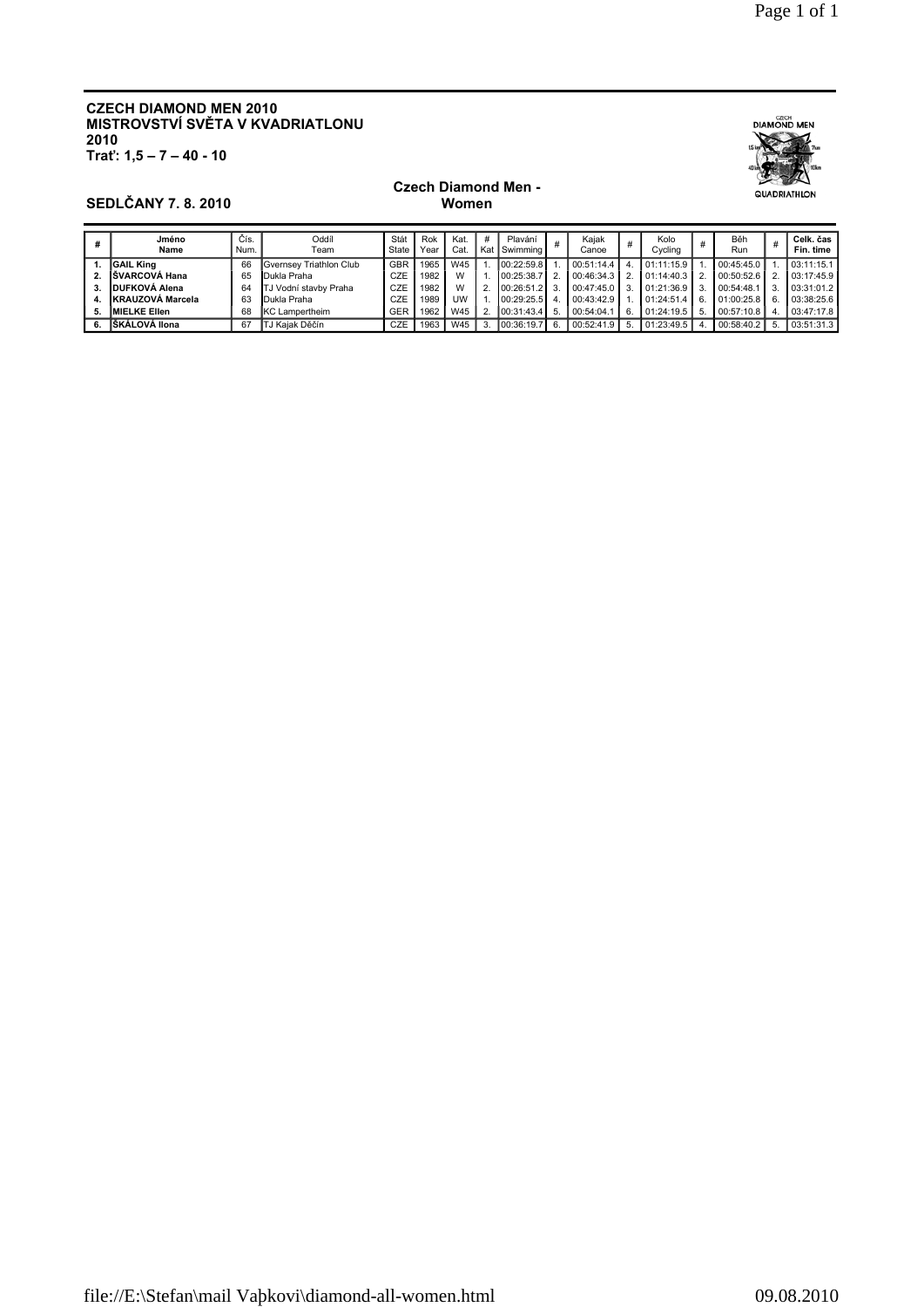# **CZECH DIAMOND MEN 2010** MISTROVSTVÍ SVĚTA V KVADRIATLONU  $2010$ <br>Trat':  $1,5 - 7 - 40 - 10$



## **SEDLČANY 7.8.2010**

#### **Czech Diamond Men -**Women

|    | Jméno<br>Name        | Čís.<br>Num. | libbC<br>Team           | Stát<br>State | Rok<br>Year | Kat.<br>Cat. | # | Plavání<br>I Kat I Swimming I |      | Kaiak<br>Canoe | Kolo<br>Cycling |    | Běh<br>Run | #  | Celk. čas<br>Fin. time |
|----|----------------------|--------------|-------------------------|---------------|-------------|--------------|---|-------------------------------|------|----------------|-----------------|----|------------|----|------------------------|
|    | <b>IGAIL King</b>    | 66           | Gvernsev Triathlon Club | <b>GBR</b>    | 1965        | W45          |   | 00:22:59.8                    |      | 100:51:14.4    | 01:11:15.9      |    | 00:45:45.0 |    | 03:11:15.1             |
|    | <b>SVARCOVÁ Hana</b> | 65           | Dukla Praha             | CZE           | 1982        | W            |   | 00:25:38.7                    |      | 00:46:34.3     | 01:14:40.3      |    | 00:50:52.6 |    | 03:17:45.9             |
|    | DUFKOVÁ Alena        | 64           | TJ Vodní stavby Praha   | CZE           | 1982        | W            |   | 00:26:51.2                    |      | 00:47:45.0     | 01:21:36.9      |    | 00:54:48.1 | 3. | 03:31:01.2             |
| 4. | KRAUZOVÁ Marcela     | 63           | Dukla Praha             | CZE           | 1989        | UW           |   | 00:29:25.5                    | 4    | 00:43:42.9     | 01:24:51.4      | 6  | 01:00:25.8 | 6. | 03:38:25.6             |
| 5. | <b>IMIELKE Ellen</b> | 68           | <b>IKC</b> Lampertheim  | GER           | 1962        | W45          |   | 100:31:43.4                   | -5   | 00:54:04.1     | 01:24:19.5      | 5. | 00:57:10.8 |    | 03:47:17.8             |
|    | IŠKÁLOVÁ Ilona       | 67           | TJ Kaiak Děčín          | <b>CZE</b>    | 1963        | W45          |   | 00:36:19.7                    | - 6. | 00:52:41.9     | 01:23:49.5      |    | 00:58:40.2 | 5. | 03:51:31.3             |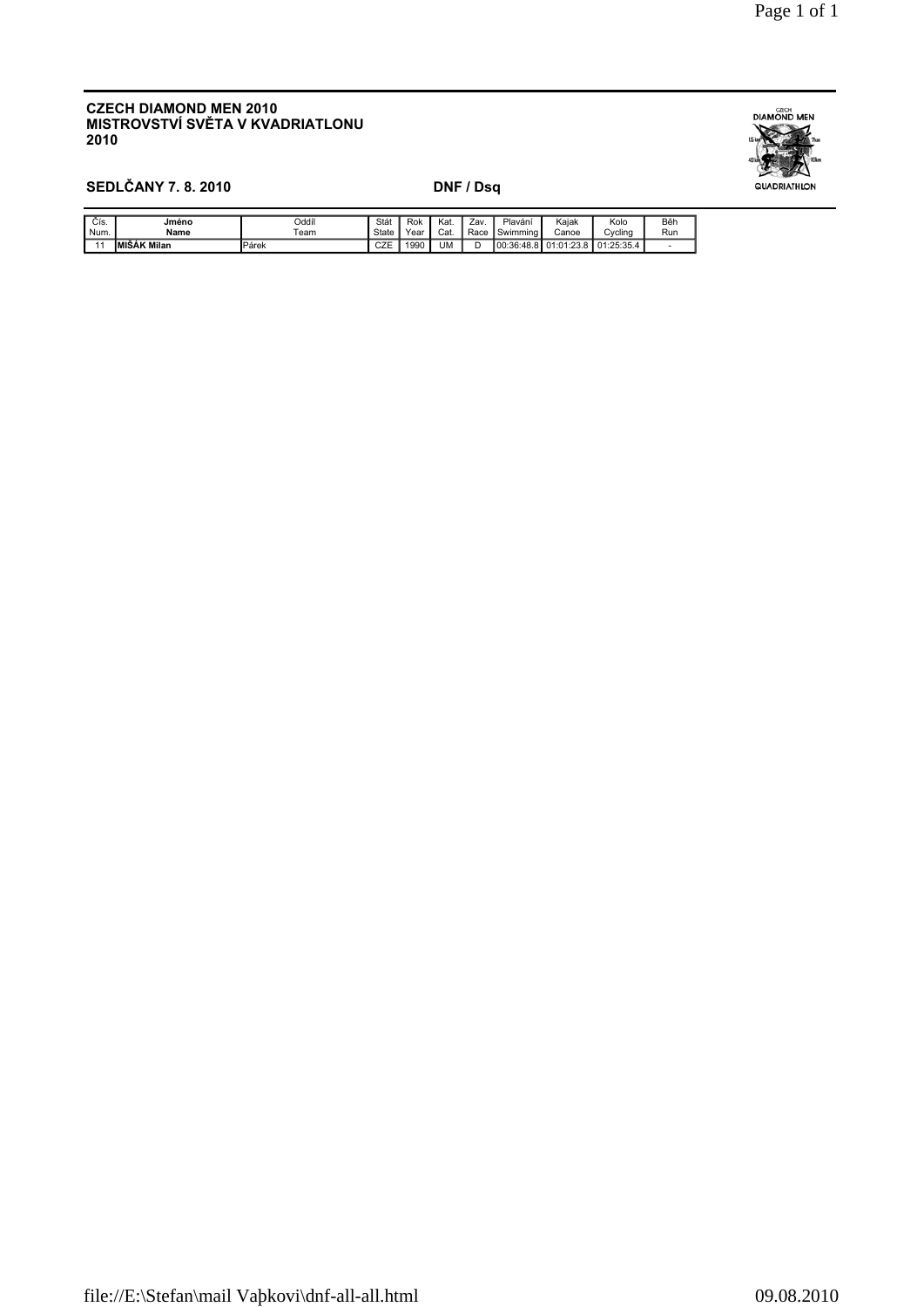#### **CZECH DIAMOND MEN 2010** MISTROVSTVÍ SVĚTA V KVADRIATLONU 2010



# **SEDLČANY 7.8.2010**

### DNF / Dsq

| Čís<br>Num. | Jméno<br>Name       | Oddíl<br>$\tau$ eam | Stá<br>State | Rok<br>Year | Kat.<br>Cat. | Zav<br>Race | Plaváni<br>$\overline{\phantom{0}}$<br>Swimming | Kaiak<br>Canoe                                              | Kolo<br>Cvclina | Běh<br>Run |
|-------------|---------------------|---------------------|--------------|-------------|--------------|-------------|-------------------------------------------------|-------------------------------------------------------------|-----------------|------------|
|             | <b>IMIŠAK Milan</b> | <b>I</b> Párek      | ∩7⊏<br>◡∠⊏   | 990         | UM           | ◡           | .400<br>00:36:<br>$\lambda$<br>.                | .00<br>$\circ$<br>.04<br>$\mathbf{A}$<br>. ت ت. ف ـ<br>- 14 | :25:35.4<br>υı  |            |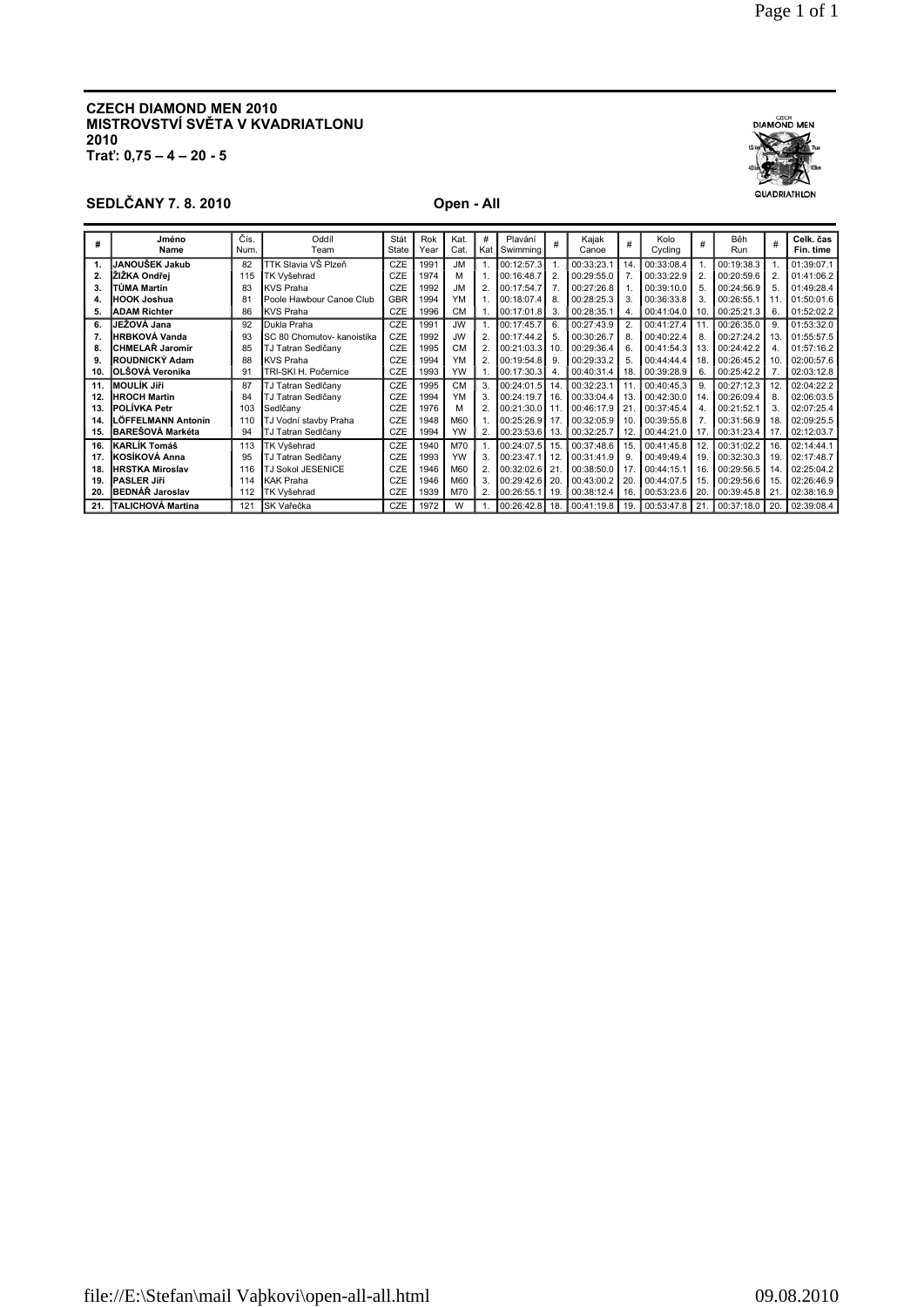#### **CZECH DIAMOND MEN 2010 MISTROVSTVÍ SVĚTA V KVADRIATLONU 2010 Trať: 0,75 – 4 – 20 - 5**

# **SEDLČANY 7. 8. 2010 Open - All**

| #   | Jméno<br>Name            | Čís.<br>Num. | <b>Oddíl</b><br>Team       | Stát<br>State | Rok<br>Year | Kat.<br>Cat. | #<br>Kat | Plavání<br>Swimming |                | Kajak<br>Canoe | #   | Kolo<br>Cycling | #   | Běh<br>Run         | #              | Celk. čas<br>Fin. time |
|-----|--------------------------|--------------|----------------------------|---------------|-------------|--------------|----------|---------------------|----------------|----------------|-----|-----------------|-----|--------------------|----------------|------------------------|
| 1.  | JANOUŠEK Jakub           | 82           | TTK Slavia VŠ Plzeň        | CZE           | 1991        | .JM          |          | 00:12:57.3          |                | 00:33:23.1     | 14. | 00:33:08.4      |     | 00:19:38.3         |                | 01:39:07.1             |
| 2.  | ŽIŽKA Ondřei             | 115          | TK Vyšehrad                | CZE           | 1974        | м            |          | 00:16:48.7          | $\overline{2}$ | 00:29:55.0     |     | 00:33:22.9      | 2.  | 00:20:59.6         | $\overline{2}$ | 01:41:06.2             |
| 3.  | TŮMA Martin              | 83           | <b>KVS Praha</b>           | CZE           | 1992        | JM.          |          | 00:17:54.7          |                | 00:27:26.8     |     | 00:39:10.0      | 5.  | 00:24:56.9         | 5              | 01:49:28.4             |
| 4.  | <b>HOOK Joshua</b>       | 81           | Poole Hawbour Canoe Club   | GBR           | 1994        | YM           |          | 00:18:07.4          | 8              | 00:28:25.3     |     | 00:36:33.8      | 3.  | 00:26:55.1         |                | 01:50:01.6             |
| 5.  | <b>ADAM Richter</b>      | 86           | <b>IKVS Praha</b>          | CZE           | 1996        | <b>CM</b>    |          | 00:17:01.8          | 3              | 00:28:35.1     | 4.  | 00:41:04.0      | 10. | 00:25:21.3         | 6.             | 01:52:02.2             |
| 6.  | IJEŽOVÁ Jana             | 92           | Dukla Praha                | CZE           | 1991        | JW.          |          | 00:17:45.7          | 6              | 00:27:43.9     |     | 00:41:27.4      | 11  | 00:26:35.0         | 9              | 01:53:32.0             |
|     | <b>HRBKOVÁ Vanda</b>     | 93           | SC 80 Chomutov- kanoistika | CZE           | 1992        | JW.          |          | 00:17:44.2          |                | 00:30:26.7     |     | 00:40:22.4      | 8.  | 00:27:24.2         | 13             | 01:55:57.5             |
| 8.  | CHMELAŘ Jaromír          | 85           | TJ Tatran Sedlčany         | CZE           | 1995        | CM           |          | 00:21:03.3          | 10             | 00:29:36.4     |     | 00:41:54.3      | 13. | 00:24:42.2         | 4              | 01:57:16.2             |
| 9.  | ROUDNICKÝ Adam           | 88           | <b>KVS Praha</b>           | CZE           | 1994        | YM           |          | 00:19:54.8          | -9             | 00:29:33.2     |     | 00:44:44.4      | 18  | 00:26:45.2         | 10             | 02:00:57.6             |
| 10. | <b>IOLŠOVÁ Veronika</b>  | 91           | TRI-SKI H. Počernice       | <b>CZE</b>    | 1993        | YW           |          | 100:17:30.31        | -4             | 00:40:31.4     | 18. | 00:39:28.9      | 6.  | 00:25:42.2         |                | 02:03:12.8             |
| 11. | IMOULÍK Jiří             | 87           | TJ Tatran Sedlčany         | CZE           | 1995        | CM           |          | 00:24:01.5          |                | 00:32:23.1     |     | 00:40:45.3      | 9   | 00:27:12.3         | 12.            | 02:04:22.2             |
| 12. | <b>HROCH Martin</b>      | 84           | TJ Tatran Sedlčany         | CZE           | 1994        | YM           |          | 00:24:19.7          |                | 00:33:04.4     | 13. | 00:42:30.0      | 14  | 00:26:09.4         | 8              | 02:06:03.5             |
| 13. | <b>POLÍVKA Petr</b>      | 103          | Sedlčany                   | CZE           | 1976        | М            |          | 00:21:30.0          | 11             | 00:46:17.9     |     | 00:37:45.4      | 4   | 00:21:52.1         | 3              | 02:07:25.4             |
| 14. | LÖFFELMANN Antonín       | 110          | TJ Vodní stavby Praha      | CZE           | 1948        | M60          |          | 00:25:26.9          | -17            | 00:32:05.9     | 10. | 00:39:55.8      |     | 00:31:56.9         | 18             | 02:09:25.5             |
| 15. | <b>BAREŠOVÁ Markéta</b>  | 94           | TJ Tatran Sedlčany         | CZE           | 1994        | <b>YW</b>    |          | $ 00:23:53.6 $ 13.  |                | 00:32:25.7     | 12. | 00:44:21.0      | 17. | $00:31:23.4$ 17.   |                | 02:12:03.7             |
| 16. | <b>IKARLÍK Tomáš</b>     | 113          | TK Vyšehrad                | CZE           | 1940        | M70          |          | 00:24:07.5          | 15.            | 00:37:48.6     | 15. | 00:41:45.8      | 12. | 00:31:02.2         | 16.            | 02:14:44.1             |
| 17. | KOSÍKOVÁ Anna            | 95           | TJ Tatran Sedlčany         | CZE           | 1993        | YW           |          | 00:23:47.1          | -12            | 00:31:41.9     | g   | 00:49:49.4      | 19  | 00:32:30.3         | 19             | 02:17:48.7             |
| 18. | <b>HRSTKA Miroslav</b>   | 116          | <b>TJ Sokol JESENICE</b>   | CZE           | 1946        | M60          |          | 00:32:02.6 21       |                | 00:38:50.0     |     | 00:44:15.1      | 16  | 00:29:56.5         | 14             | 02:25:04.2             |
| 19. | <b>PASLER Jiří</b>       | 114          | <b>KAK Praha</b>           | CZE           | 1946        | M60          |          | 00:29:42.6          | 20             | 00:43:00.2     | 20  | 00:44:07.5      | 15  | 00:29:56.6         | 15             | 02:26:46.9             |
| 20. | <b>BEDNÁŘ Jaroslav</b>   | 112          | TK Vyšehrad                | CZE           | 1939        | M70          |          | 00:26:55.1          | II 19.         | 00:38:12.4     | 16. | 00:53:23.6      | 20  | 00:39:45.8 21      |                | 02:38:16.9             |
| 21. | <b>TALICHOVÁ Martina</b> | 121          | <b>ISK Vařečka</b>         | <b>CZE</b>    | 1972        | W            |          | 00:26:42.8   18.    |                | 100:41:19.8    | 19. | 00:53:47.8      | 21  | $00:37:18.0$   20. |                | 02:39:08.4             |

**DIAMOND MEN** 

QUADRIATHLON